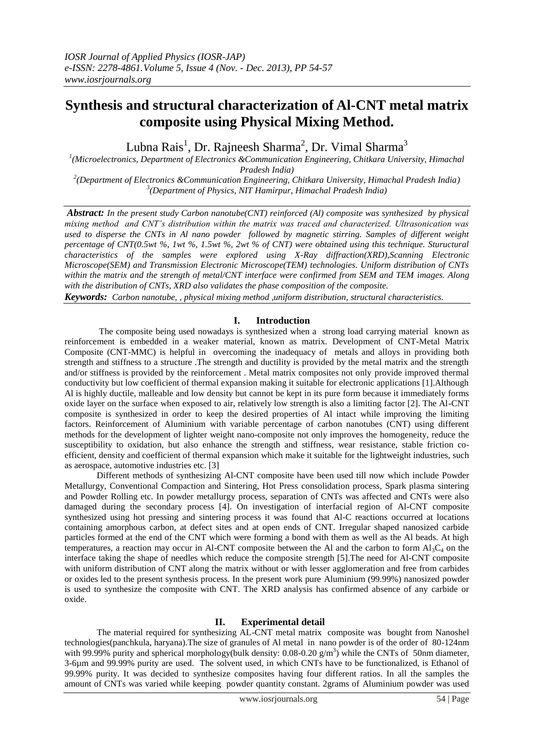# **Synthesis and structural characterization of Al-CNT metal matrix composite using Physical Mixing Method.**

Lubna Rais $^1$ , Dr. Rajneesh Sharma $^2$ , Dr. Vimal Sharma $^3$ 

*1 (Microelectronics, Department of Electronics &Communication Engineering, Chitkara University, Himachal Pradesh India)*

*2 (Department of Electronics &Communication Engineering, Chitkara University, Himachal Pradesh India) 3 (Department of Physics, NIT Hamirpur, Himachal Pradesh India)*

*Abstract: In the present study Carbon nanotube(CNT) reinforced (Al) composite was synthesized by physical mixing method and CNT's distribution within the matrix was traced and characterized. Ultrasonication was used to disperse the CNTs in Al nano powder followed by magnetic stirring. Samples of different weight percentage of CNT(0.5wt %, 1wt %, 1.5wt %, 2wt % of CNT) were obtained using this technique. Stuructural characteristics of the samples were explored using X-Ray diffraction(XRD),Scanning Electronic Microscope(SEM) and Transmission Electronic Microscope(TEM) technologies. Uniform distribution of CNTs within the matrix and the strength of metal/CNT interface were confirmed from SEM and TEM images. Along with the distribution of CNTs, XRD also validates the phase composition of the composite.*

*Keywords: Carbon nanotube, , physical mixing method ,uniform distribution, structural characteristics.*

### **I. Introduction**

The composite being used nowadays is synthesized when a strong load carrying material known as reinforcement is embedded in a weaker material, known as matrix. Development of CNT-Metal Matrix Composite (CNT-MMC) is helpful in overcoming the inadequacy of metals and alloys in providing both strength and stiffness to a structure .The strength and ductility is provided by the metal matrix and the strength and/or stiffness is provided by the reinforcement . Metal matrix composites not only provide improved thermal conductivity but low coefficient of thermal expansion making it suitable for electronic applications [1].Although Al is highly ductile, malleable and low density but cannot be kept in its pure form because it immediately forms oxide layer on the surface when exposed to air, relatively low strength is also a limiting factor [2]. The Al-CNT composite is synthesized in order to keep the desired properties of Al intact while improving the limiting factors. Reinforcement of Aluminium with variable percentage of carbon nanotubes (CNT) using different methods for the development of lighter weight nano-composite not only improves the homogeneity, reduce the susceptibility to oxidation, but also enhance the strength and stiffness, wear resistance, stable friction coefficient, density and coefficient of thermal expansion which make it suitable for the lightweight industries, such as aerospace, automotive industries etc. [3]

Different methods of synthesizing Al-CNT composite have been used till now which include Powder Metallurgy, Conventional Compaction and Sintering, Hot Press consolidation process, Spark plasma sintering and Powder Rolling etc. In powder metallurgy process, separation of CNTs was affected and CNTs were also damaged during the secondary process [4]. On investigation of interfacial region of Al-CNT composite synthesized using hot pressing and sintering process it was found that Al-C reactions occurred at locations containing amorphous carbon, at defect sites and at open ends of CNT. Irregular shaped nanosized carbide particles formed at the end of the CNT which were forming a bond with them as well as the Al beads. At high temperatures, a reaction may occur in Al-CNT composite between the Al and the carbon to form  $Al_3C_4$  on the interface taking the shape of needles which reduce the composite strength [5].The need for Al-CNT composite with uniform distribution of CNT along the matrix without or with lesser agglomeration and free from carbides or oxides led to the present synthesis process. In the present work pure Aluminium (99.99%) nanosized powder is used to synthesize the composite with CNT. The XRD analysis has confirmed absence of any carbide or oxide.

## **II. Experimental detail**

The material required for synthesizing AL-CNT metal matrix composite was bought from Nanoshel technologies(panchkula, haryana).The size of granules of Al metal in nano powder is of the order of 80-124nm with 99.99% purity and spherical morphology(bulk density:  $0.08$ - $0.20$  g/m<sup>3</sup>) while the CNTs of 50nm diameter, 3-6µm and 99.99% purity are used. The solvent used, in which CNTs have to be functionalized, is Ethanol of 99.99% purity. It was decided to synthesize composites having four different ratios. In all the samples the amount of CNTs was varied while keeping powder quantity constant. 2grams of Aluminium powder was used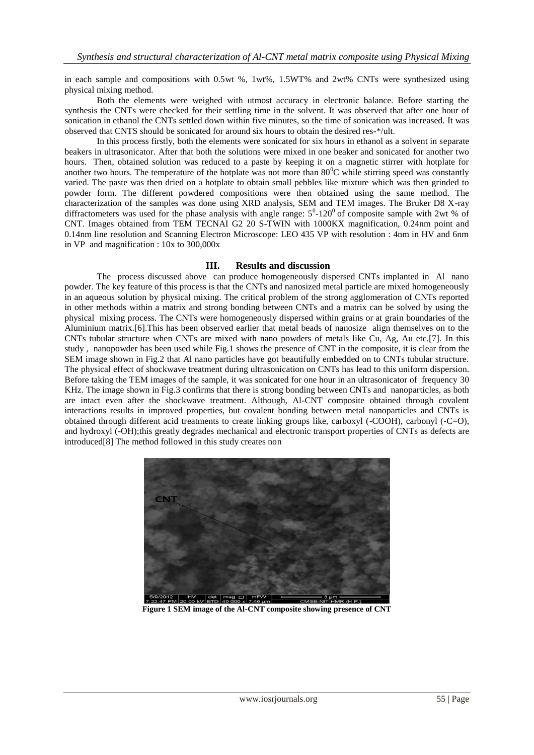in each sample and compositions with 0.5wt %, 1wt%, 1.5WT% and 2wt% CNTs were synthesized using physical mixing method.

Both the elements were weighed with utmost accuracy in electronic balance. Before starting the synthesis the CNTs were checked for their settling time in the solvent. It was observed that after one hour of sonication in ethanol the CNTs settled down within five minutes, so the time of sonication was increased. It was observed that CNTS should be sonicated for around six hours to obtain the desired res-\*/ult.

In this process firstly, both the elements were sonicated for six hours in ethanol as a solvent in separate beakers in ultrasonicator. After that both the solutions were mixed in one beaker and sonicated for another two hours. Then, obtained solution was reduced to a paste by keeping it on a magnetic stirrer with hotplate for another two hours. The temperature of the hotplate was not more than  $80^{\circ}$ C while stirring speed was constantly varied. The paste was then dried on a hotplate to obtain small pebbles like mixture which was then grinded to powder form. The different powdered compositions were then obtained using the same method. The characterization of the samples was done using XRD analysis, SEM and TEM images. The Bruker D8 X-ray diffractometers was used for the phase analysis with angle range:  $5^0$ -120<sup>0</sup> of composite sample with 2wt % of CNT. Images obtained from TEM TECNAI G2 20 S-TWIN with 1000KX magnification, 0.24nm point and 0.14nm line resolution and Scanning Electron Microscope: LEO 435 VP with resolution : 4nm in HV and 6nm in VP and magnification : 10x to 300,000x

### **III. Results and discussion**

The process discussed above can produce homogeneously dispersed CNTs implanted in Al nano powder. The key feature of this process is that the CNTs and nanosized metal particle are mixed homogeneously in an aqueous solution by physical mixing. The critical problem of the strong agglomeration of CNTs reported in other methods within a matrix and strong bonding between CNTs and a matrix can be solved by using the physical mixing process. The CNTs were homogeneously dispersed within grains or at grain boundaries of the Aluminium matrix.[6].This has been observed earlier that metal beads of nanosize align themselves on to the CNTs tubular structure when CNTs are mixed with nano powders of metals like Cu, Ag, Au etc.[7]. In this study , nanopowder has been used while Fig.1 shows the presence of CNT in the composite, it is clear from the SEM image shown in Fig.2 that Al nano particles have got beautifully embedded on to CNTs tubular structure. The physical effect of shockwave treatment during ultrasonication on CNTs has lead to this uniform dispersion. Before taking the TEM images of the sample, it was sonicated for one hour in an ultrasonicator of frequency 30 KHz. The image shown in Fig.3 confirms that there is strong bonding between CNTs and nanoparticles, as both are intact even after the shockwave treatment. Although, Al-CNT composite obtained through covalent interactions results in improved properties, but covalent bonding between metal nanoparticles and CNTs is obtained through different acid treatments to create linking groups like, carboxyl (-COOH), carbonyl (-C=O), and hydroxyl (-OH);this greatly degrades mechanical and electronic transport properties of CNTs as defects are introduced[8] The method followed in this study creates non



**Figure 1 SEM image of the Al-CNT composite showing presence of CNT**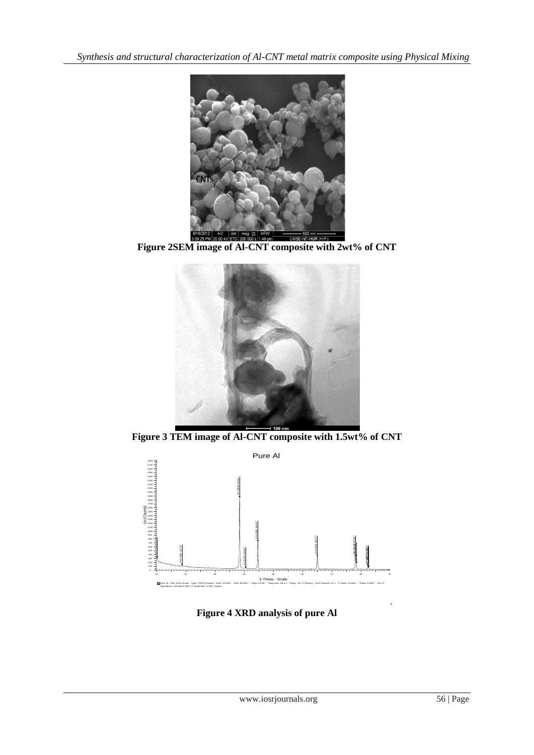*Synthesis and structural characterization of Al-CNT metal matrix composite using Physical Mixing*



**Figure 2SEM image of Al-CNT composite with 2wt% of CNT**



**Figure 3 TEM image of Al-CNT composite with 1.5wt% of CNT**



**Figure 4 XRD analysis of pure Al**

.